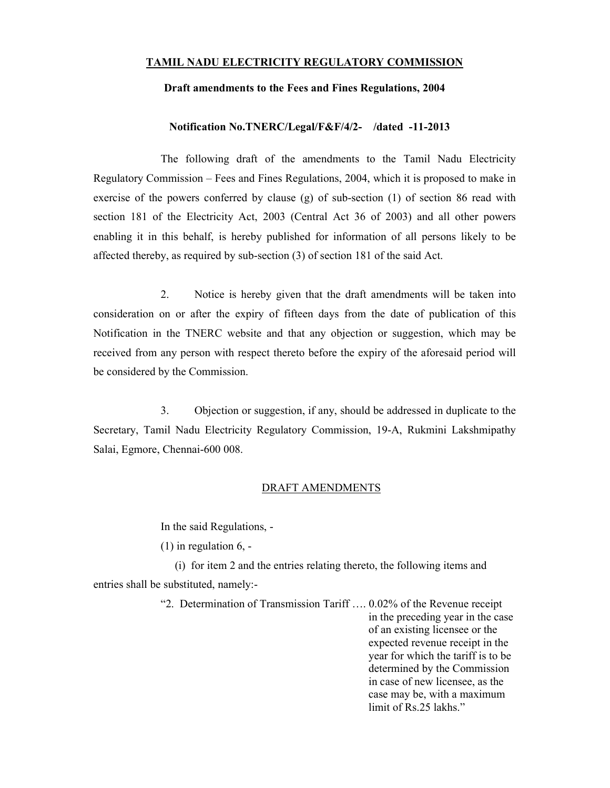## TAMIL NADU ELECTRICITY REGULATORY COMMISSION

## Draft amendments to the Fees and Fines Regulations, 2004

## Notification No.TNERC/Legal/F&F/4/2- /dated -11-2013

 The following draft of the amendments to the Tamil Nadu Electricity Regulatory Commission – Fees and Fines Regulations, 2004, which it is proposed to make in exercise of the powers conferred by clause (g) of sub-section (1) of section 86 read with section 181 of the Electricity Act, 2003 (Central Act 36 of 2003) and all other powers enabling it in this behalf, is hereby published for information of all persons likely to be affected thereby, as required by sub-section (3) of section 181 of the said Act.

 2. Notice is hereby given that the draft amendments will be taken into consideration on or after the expiry of fifteen days from the date of publication of this Notification in the TNERC website and that any objection or suggestion, which may be received from any person with respect thereto before the expiry of the aforesaid period will be considered by the Commission.

 3. Objection or suggestion, if any, should be addressed in duplicate to the Secretary, Tamil Nadu Electricity Regulatory Commission, 19-A, Rukmini Lakshmipathy Salai, Egmore, Chennai-600 008.

## DRAFT AMENDMENTS

In the said Regulations, -

 $(1)$  in regulation 6, -

 (i) for item 2 and the entries relating thereto, the following items and entries shall be substituted, namely:-

> "2. Determination of Transmission Tariff …. 0.02% of the Revenue receipt in the preceding year in the case of an existing licensee or the expected revenue receipt in the year for which the tariff is to be determined by the Commission in case of new licensee, as the case may be, with a maximum limit of Rs.25 lakhs."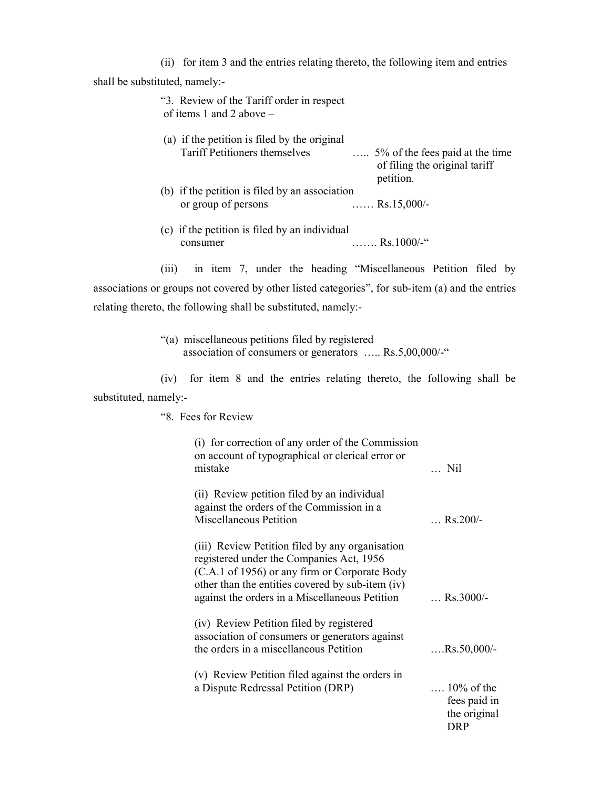(ii) for item 3 and the entries relating thereto, the following item and entries

shall be substituted, namely:-

| "3. Review of the Tariff order in respect<br>of items 1 and 2 above $-$ |                                                                                                      |
|-------------------------------------------------------------------------|------------------------------------------------------------------------------------------------------|
| (a) if the petition is filed by the original                            |                                                                                                      |
| <b>Tariff Petitioners themselves</b>                                    | $\ldots$ 5% of the fees paid at the time<br>of filing the original tariff<br>petition.               |
| (b) if the petition is filed by an association                          |                                                                                                      |
| or group of persons                                                     | $Rs.15,000/-$                                                                                        |
| (c) if the petition is filed by an individual                           |                                                                                                      |
| consumer                                                                | $\ldots \ldots$ Rs.1000/-"                                                                           |
|                                                                         | $(11)$ . $1 \tImes$ $\pi$ . $1 \tImes$ $1 \tImes$ $(0.1)$ . $11 \tImes$ $\pi$ $D \tImes$ $C1 \tImes$ |

 (iii) in item 7, under the heading "Miscellaneous Petition filed by associations or groups not covered by other listed categories", for sub-item (a) and the entries relating thereto, the following shall be substituted, namely:-

> "(a) miscellaneous petitions filed by registered association of consumers or generators ….. Rs.5,00,000/-"

 (iv) for item 8 and the entries relating thereto, the following shall be substituted, namely:-

 "8. Fees for Review (i) for correction of any order of the Commission on account of typographical or clerical error or mistake … Nil (ii) Review petition filed by an individual against the orders of the Commission in a Miscellaneous Petition … Rs.200/- (iii) Review Petition filed by any organisation registered under the Companies Act, 1956 (C.A.1 of 1956) or any firm or Corporate Body other than the entities covered by sub-item (iv) against the orders in a Miscellaneous Petition … Rs.3000/- (iv) Review Petition filed by registered association of consumers or generators against the orders in a miscellaneous Petition ….Rs.50,000/- (v) Review Petition filed against the orders in a Dispute Redressal Petition (DRP) …. 10% of the fees paid in the original DRP